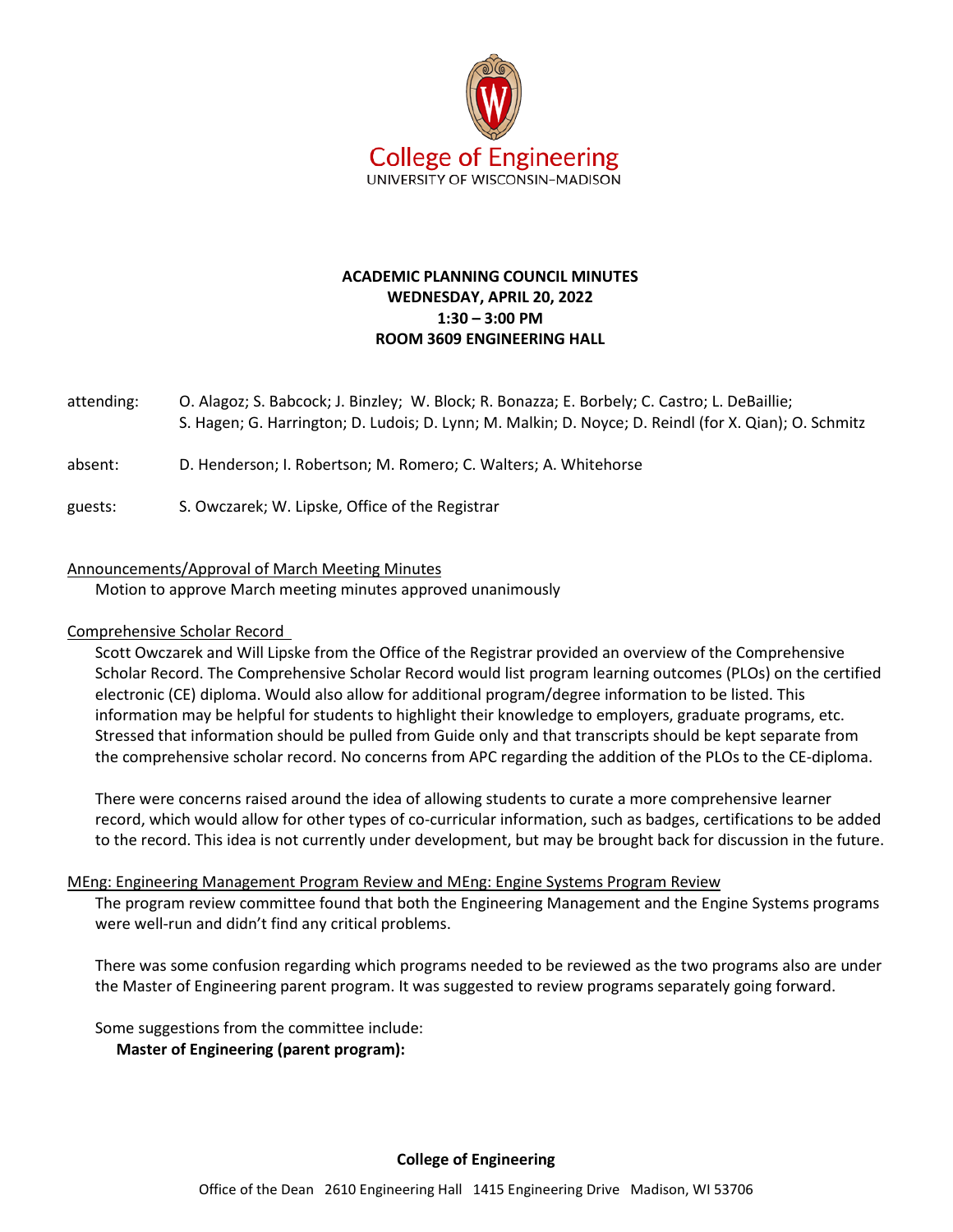

# **ACADEMIC PLANNING COUNCIL MINUTES WEDNESDAY, APRIL 20, 2022 1:30 – 3:00 PM ROOM 3609 ENGINEERING HALL**

- attending: O. Alagoz; S. Babcock; J. Binzley; W. Block; R. Bonazza; E. Borbely; C. Castro; L. DeBaillie; S. Hagen; G. Harrington; D. Ludois; D. Lynn; M. Malkin; D. Noyce; D. Reindl (for X. Qian); O. Schmitz
- absent: D. Henderson; I. Robertson; M. Romero; C. Walters; A. Whitehorse
- guests: S. Owczarek; W. Lipske, Office of the Registrar

#### Announcements/Approval of March Meeting Minutes

Motion to approve March meeting minutes approved unanimously

### Comprehensive Scholar Record

Scott Owczarek and Will Lipske from the Office of the Registrar provided an overview of the Comprehensive Scholar Record. The Comprehensive Scholar Record would list program learning outcomes (PLOs) on the certified electronic (CE) diploma. Would also allow for additional program/degree information to be listed. This information may be helpful for students to highlight their knowledge to employers, graduate programs, etc. Stressed that information should be pulled from Guide only and that transcripts should be kept separate from the comprehensive scholar record. No concerns from APC regarding the addition of the PLOs to the CE-diploma.

There were concerns raised around the idea of allowing students to curate a more comprehensive learner record, which would allow for other types of co-curricular information, such as badges, certifications to be added to the record. This idea is not currently under development, but may be brought back for discussion in the future.

#### MEng: Engineering Management Program Review and MEng: Engine Systems Program Review

The program review committee found that both the Engineering Management and the Engine Systems programs were well-run and didn't find any critical problems.

There was some confusion regarding which programs needed to be reviewed as the two programs also are under the Master of Engineering parent program. It was suggested to review programs separately going forward.

Some suggestions from the committee include:

**Master of Engineering (parent program):**

# **College of Engineering**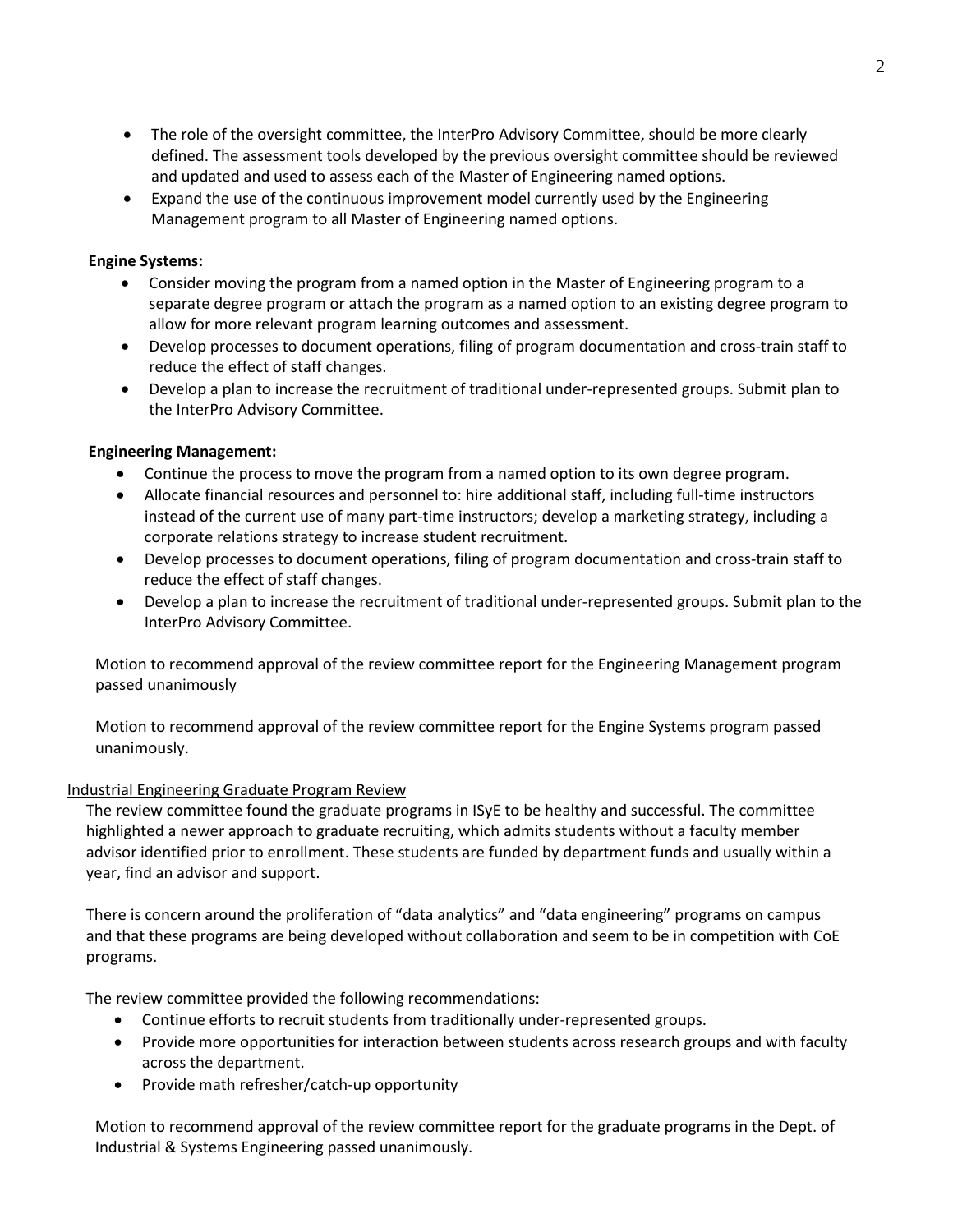- The role of the oversight committee, the InterPro Advisory Committee, should be more clearly defined. The assessment tools developed by the previous oversight committee should be reviewed and updated and used to assess each of the Master of Engineering named options.
- Expand the use of the continuous improvement model currently used by the Engineering Management program to all Master of Engineering named options.

### **Engine Systems:**

- Consider moving the program from a named option in the Master of Engineering program to a separate degree program or attach the program as a named option to an existing degree program to allow for more relevant program learning outcomes and assessment.
- Develop processes to document operations, filing of program documentation and cross-train staff to reduce the effect of staff changes.
- Develop a plan to increase the recruitment of traditional under-represented groups. Submit plan to the InterPro Advisory Committee.

# **Engineering Management:**

- Continue the process to move the program from a named option to its own degree program.
- Allocate financial resources and personnel to: hire additional staff, including full-time instructors instead of the current use of many part-time instructors; develop a marketing strategy, including a corporate relations strategy to increase student recruitment.
- Develop processes to document operations, filing of program documentation and cross-train staff to reduce the effect of staff changes.
- Develop a plan to increase the recruitment of traditional under-represented groups. Submit plan to the InterPro Advisory Committee.

Motion to recommend approval of the review committee report for the Engineering Management program passed unanimously

Motion to recommend approval of the review committee report for the Engine Systems program passed unanimously.

### Industrial Engineering Graduate Program Review

The review committee found the graduate programs in ISyE to be healthy and successful. The committee highlighted a newer approach to graduate recruiting, which admits students without a faculty member advisor identified prior to enrollment. These students are funded by department funds and usually within a year, find an advisor and support.

There is concern around the proliferation of "data analytics" and "data engineering" programs on campus and that these programs are being developed without collaboration and seem to be in competition with CoE programs.

The review committee provided the following recommendations:

- Continue efforts to recruit students from traditionally under-represented groups.
- Provide more opportunities for interaction between students across research groups and with faculty across the department.
- Provide math refresher/catch-up opportunity

Motion to recommend approval of the review committee report for the graduate programs in the Dept. of Industrial & Systems Engineering passed unanimously.